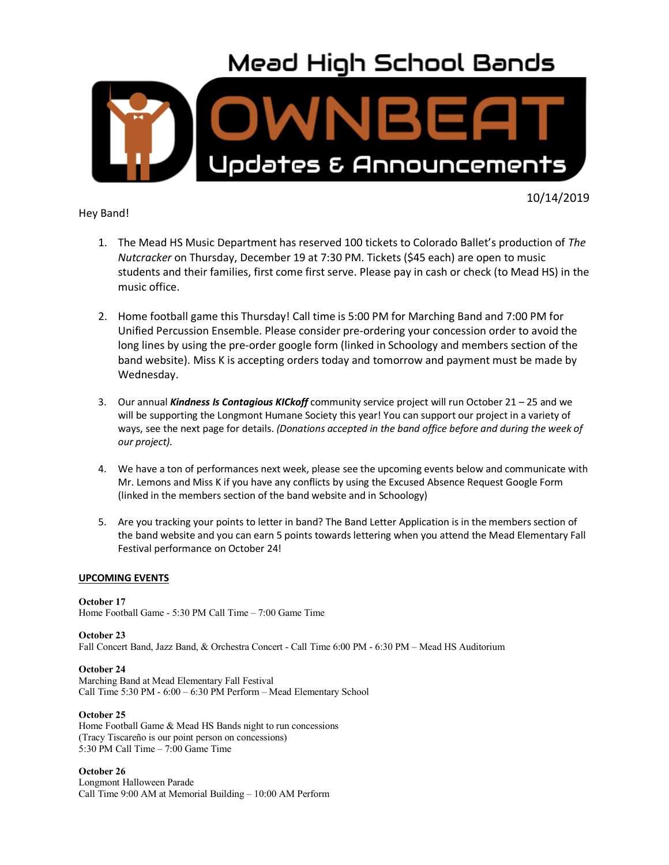## **Mead High School Bands**



#### Hey Band!

10/14/2019

- 1. The Mead HS Music Department has reserved 100 tickets to Colorado Ballet's production of *The Nutcracker* on Thursday, December 19 at 7:30 PM. Tickets (\$45 each) are open to music students and their families, first come first serve. Please pay in cash or check (to Mead HS) in the music office.
- 2. Home football game this Thursday! Call time is 5:00 PM for Marching Band and 7:00 PM for Unified Percussion Ensemble. Please consider pre-ordering your concession order to avoid the long lines by using the pre-order google form (linked in Schoology and members section of the band website). Miss K is accepting orders today and tomorrow and payment must be made by Wednesday.
- 3. Our annual *Kindness Is Contagious KICkoff* community service project will run October 21 25 and we will be supporting the Longmont Humane Society this year! You can support our project in a variety of ways, see the next page for details. *(Donations accepted in the band office before and during the week of our project).*
- 4. We have a ton of performances next week, please see the upcoming events below and communicate with Mr. Lemons and Miss K if you have any conflicts by using the Excused Absence Request Google Form (linked in the members section of the band website and in Schoology)
- 5. Are you tracking your points to letter in band? The Band Letter Application is in the members section of the band website and you can earn 5 points towards lettering when you attend the Mead Elementary Fall Festival performance on October 24!

#### **UPCOMING EVENTS**

**October 17** Home Football Game - 5:30 PM Call Time – 7:00 Game Time

**October 23**

Fall Concert Band, Jazz Band, & Orchestra Concert - Call Time 6:00 PM - 6:30 PM – Mead HS Auditorium

#### **October 24**

Marching Band at Mead Elementary Fall Festival Call Time 5:30 PM - 6:00 – 6:30 PM Perform – Mead Elementary School

#### **October 25**

Home Football Game & Mead HS Bands night to run concessions (Tracy Tiscareño is our point person on concessions) 5:30 PM Call Time – 7:00 Game Time

#### **October 26**

Longmont Halloween Parade Call Time 9:00 AM at Memorial Building – 10:00 AM Perform